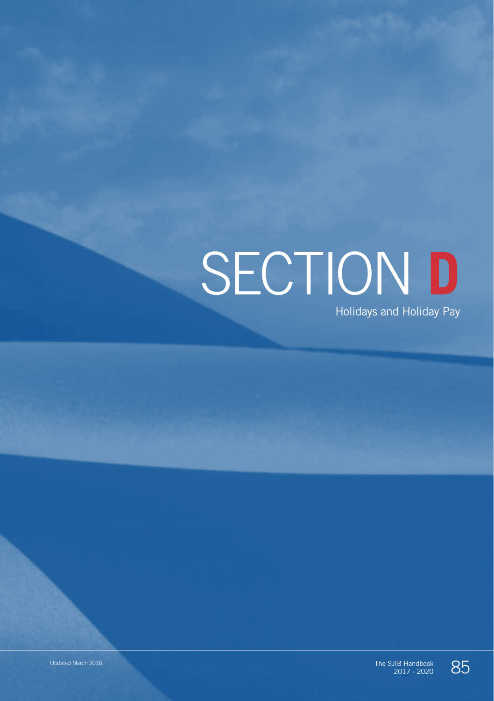# SECTION **D**

Holidays and Holiday Pay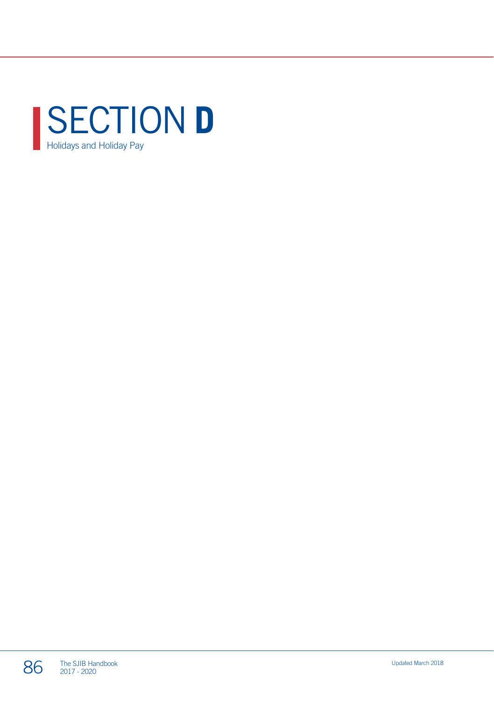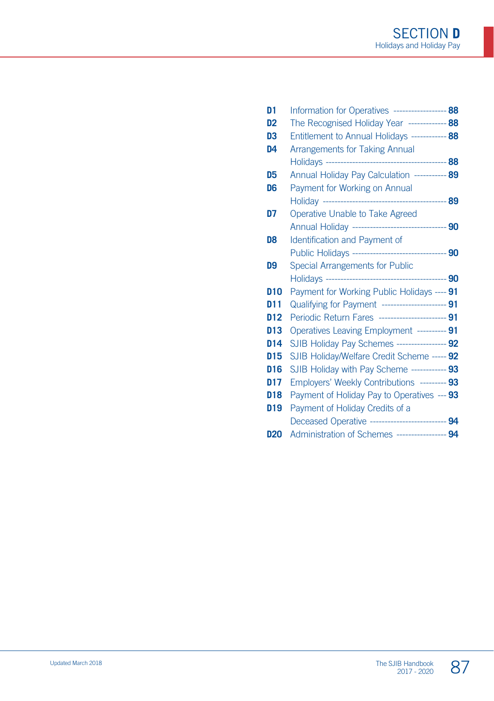| D <sub>1</sub>  | Information for Operatives ------------------ 88     |  |
|-----------------|------------------------------------------------------|--|
| D <sub>2</sub>  | The Recognised Holiday Year ------------- 88         |  |
| D3              | Entitlement to Annual Holidays ------------ 88       |  |
| D <sub>4</sub>  | <b>Arrangements for Taking Annual</b>                |  |
|                 |                                                      |  |
| D5              | Annual Holiday Pay Calculation ----------- 89        |  |
| D6              | Payment for Working on Annual                        |  |
|                 |                                                      |  |
| D7              | Operative Unable to Take Agreed                      |  |
|                 | Annual Holiday --------------------------------- 90  |  |
| D8              | Identification and Payment of                        |  |
|                 | Public Holidays --------------------------------- 90 |  |
| D9              | Special Arrangements for Public                      |  |
|                 |                                                      |  |
| <b>D10</b>      | Payment for Working Public Holidays ---- 91          |  |
| D <sub>11</sub> | Qualifying for Payment ---------------------- 91     |  |
| D <sub>12</sub> | Periodic Return Fares ------------------------ 91    |  |
| D13             | Operatives Leaving Employment ---------- 91          |  |
| D <sub>14</sub> | SJIB Holiday Pay Schemes ----------------- 92        |  |
| <b>D15</b>      | SJIB Holiday/Welfare Credit Scheme ----- 92          |  |
| D16             | SJIB Holiday with Pay Scheme ------------ 93         |  |
| D17             | Employers' Weekly Contributions --------- 93         |  |
| D <sub>18</sub> | Payment of Holiday Pay to Operatives --- 93          |  |
| D <sub>19</sub> | Payment of Holiday Credits of a                      |  |
|                 | Deceased Operative --------------------------- 94    |  |
| <b>D20</b>      | Administration of Schemes ----------------- 94       |  |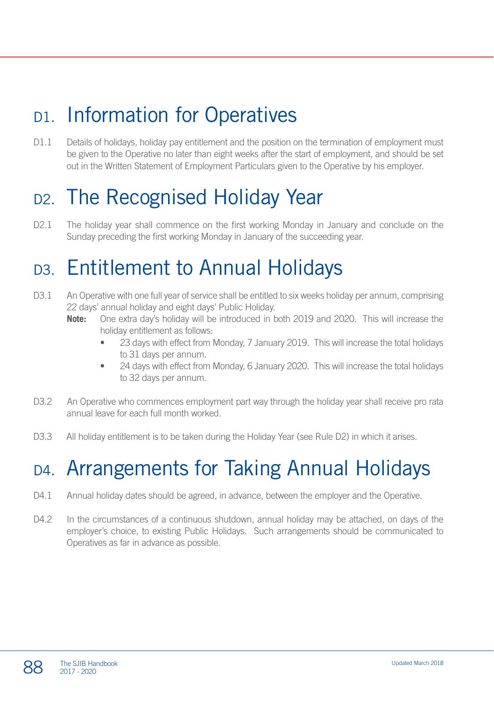# D1. Information for Operatives

D1.1 Details of holidays, holiday pay entitlement and the position on the termination of employment must be given to the Operative no later than eight weeks after the start of employment, and should be set out in the Written Statement of Employment Particulars given to the Operative by his employer.

# D<sub>2</sub>. The Recognised Holiday Year

D2.1 The holiday year shall commence on the first working Monday in January and conclude on the Sunday preceding the first working Monday in January of the succeeding year.

# D3. Entitlement to Annual Holidays

- D3.1 An Operative with one full year of service shall be entitled to six weeks holiday per annum, comprising 22 days' annual holiday and eight days' Public Holiday.
	- **Note:** One extra day's holiday will be introduced in both 2019 and 2020. This will increase the holiday entitlement as follows:
		- 23 days with effect from Monday, 7 January 2019. This will increase the total holidays to 31 days per annum.
		- 24 days with effect from Monday, 6 January 2020. This will increase the total holidays to 32 days per annum.
- D3.2 An Operative who commences employment part way through the holiday year shall receive pro rata annual leave for each full month worked.
- D3.3 All holiday entitlement is to be taken during the Holiday Year (see Rule D2) in which it arises.

# D4. Arrangements for Taking Annual Holidays

- D4.1 Annual holiday dates should be agreed, in advance, between the employer and the Operative.
- D4.2 In the circumstances of a continuous shutdown, annual holiday may be attached, on days of the employer's choice, to existing Public Holidays. Such arrangements should be communicated to Operatives as far in advance as possible.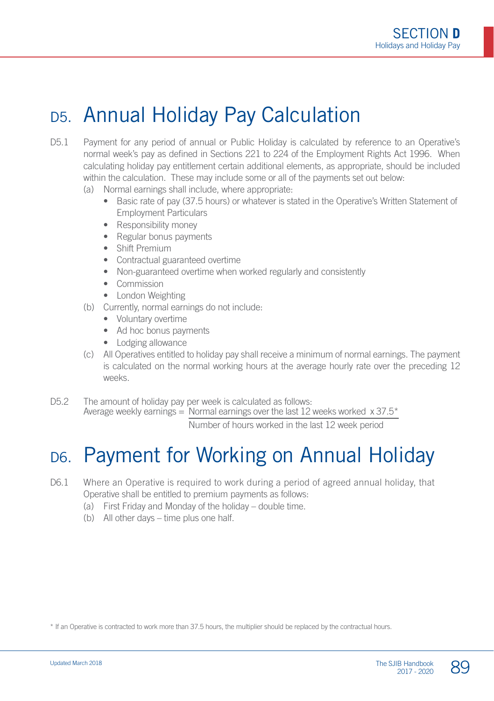# D5. Annual Holiday Pay Calculation

- D5.1 Payment for any period of annual or Public Holiday is calculated by reference to an Operative's normal week's pay as defined in Sections 221 to 224 of the Employment Rights Act 1996. When calculating holiday pay entitlement certain additional elements, as appropriate, should be included within the calculation. These may include some or all of the payments set out below:
	- (a) Normal earnings shall include, where appropriate:
		- Basic rate of pay (37.5 hours) or whatever is stated in the Operative's Written Statement of Employment Particulars
		- Responsibility money
		- Regular bonus payments
		- Shift Premium
		- Contractual guaranteed overtime
		- Non-guaranteed overtime when worked regularly and consistently
		- Commission
		- London Weighting
	- (b) Currently, normal earnings do not include:
		- Voluntary overtime
		- Ad hoc bonus payments
		- Lodging allowance
	- (c) All Operatives entitled to holiday pay shall receive a minimum of normal earnings. The payment is calculated on the normal working hours at the average hourly rate over the preceding 12 weeks.
- D5.2 The amount of holiday pay per week is calculated as follows: Average weekly earnings  $=$  Normal earnings over the last 12 weeks worked  $\times$  37.5<sup>\*</sup> Number of hours worked in the last 12 week period

#### D6. Payment for Working on Annual Holiday

#### D6.1 Where an Operative is required to work during a period of agreed annual holiday, that Operative shall be entitled to premium payments as follows:

- (a) First Friday and Monday of the holiday double time.
- (b) All other days time plus one half.

\* If an Operative is contracted to work more than 37.5 hours, the multiplier should be replaced by the contractual hours.

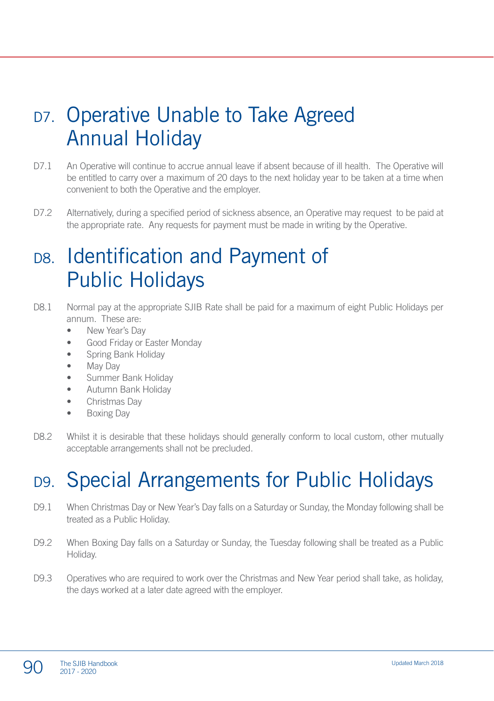# D7. Operative Unable to Take Agreed Annual Holiday

- D7.1 An Operative will continue to accrue annual leave if absent because of ill health. The Operative will be entitled to carry over a maximum of 20 days to the next holiday year to be taken at a time when convenient to both the Operative and the employer.
- D7.2 Alternatively, during a specified period of sickness absence, an Operative may request to be paid at the appropriate rate. Any requests for payment must be made in writing by the Operative.

#### D8. Identification and Payment of Public Holidays

- D8.1 Normal pay at the appropriate SJIB Rate shall be paid for a maximum of eight Public Holidays per annum. These are:
	- New Year's Day
	- Good Friday or Easter Monday
	- Spring Bank Holiday
	- May Day
	- Summer Bank Holiday
	- Autumn Bank Holiday
	- Christmas Day
	- Boxing Day
- D8.2 Whilst it is desirable that these holidays should generally conform to local custom, other mutually acceptable arrangements shall not be precluded.

# D9. Special Arrangements for Public Holidays

- D9.1 When Christmas Day or New Year's Day falls on a Saturday or Sunday, the Monday following shall be treated as a Public Holiday.
- D9.2 When Boxing Day falls on a Saturday or Sunday, the Tuesday following shall be treated as a Public Holiday.
- D9.3 Operatives who are required to work over the Christmas and New Year period shall take, as holiday, the days worked at a later date agreed with the employer.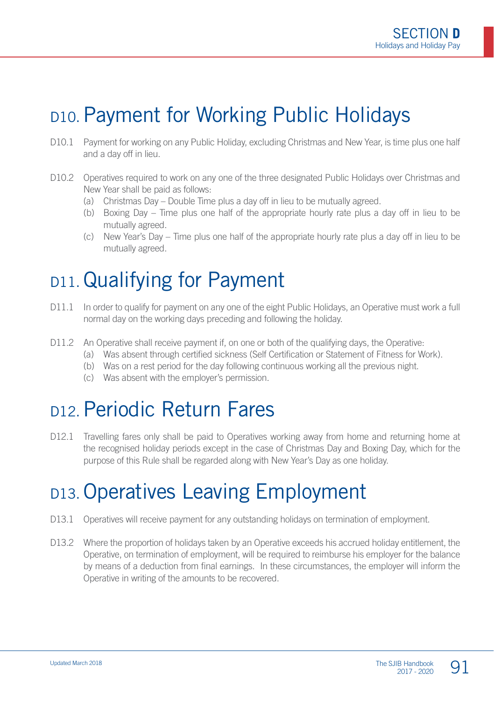# D10. Payment for Working Public Holidays

- D10.1 Payment for working on any Public Holiday, excluding Christmas and New Year, is time plus one half and a day off in lieu.
- D10.2 Operatives required to work on any one of the three designated Public Holidays over Christmas and New Year shall be paid as follows:
	- (a) Christmas Day Double Time plus a day off in lieu to be mutually agreed.
	- (b) Boxing Day Time plus one half of the appropriate hourly rate plus a day off in lieu to be mutually agreed.
	- (c) New Year's Day Time plus one half of the appropriate hourly rate plus a day off in lieu to be mutually agreed.

# D11.Qualifying for Payment

- D11.1 In order to qualify for payment on any one of the eight Public Holidays, an Operative must work a full normal day on the working days preceding and following the holiday.
- D11.2 An Operative shall receive payment if, on one or both of the qualifying days, the Operative:
	- (a) Was absent through certified sickness (Self Certification or Statement of Fitness for Work).
	- (b) Was on a rest period for the day following continuous working all the previous night.
	- (c) Was absent with the employer's permission.

# D12. Periodic Return Fares

D12.1 Travelling fares only shall be paid to Operatives working away from home and returning home at the recognised holiday periods except in the case of Christmas Day and Boxing Day, which for the purpose of this Rule shall be regarded along with New Year's Day as one holiday.

#### D13. Operatives Leaving Employment

- D13.1 Operatives will receive payment for any outstanding holidays on termination of employment.
- D13.2 Where the proportion of holidays taken by an Operative exceeds his accrued holiday entitlement, the Operative, on termination of employment, will be required to reimburse his employer for the balance by means of a deduction from final earnings. In these circumstances, the employer will inform the Operative in writing of the amounts to be recovered.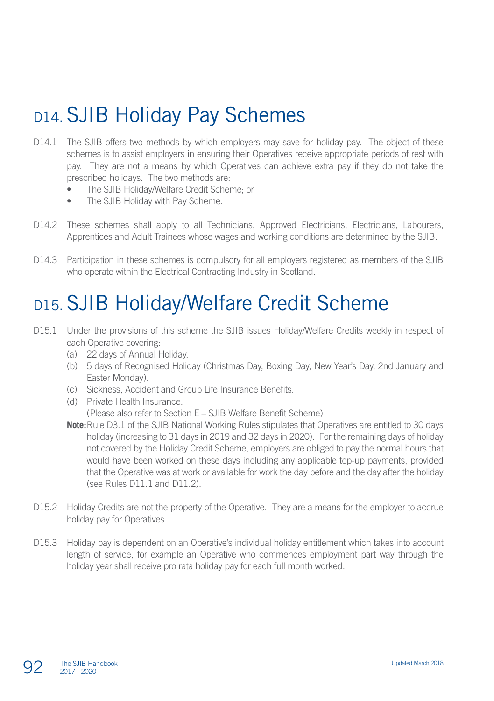# D<sub>14</sub>. SJIB Holiday Pay Schemes

- D14.1 The SJIB offers two methods by which employers may save for holiday pay. The object of these schemes is to assist employers in ensuring their Operatives receive appropriate periods of rest with pay. They are not a means by which Operatives can achieve extra pay if they do not take the prescribed holidays. The two methods are:
	- The SJIB Holiday/Welfare Credit Scheme; or
	- The SJIB Holiday with Pay Scheme.
- D14.2 These schemes shall apply to all Technicians, Approved Electricians, Electricians, Labourers, Apprentices and Adult Trainees whose wages and working conditions are determined by the SJIB.
- D14.3 Participation in these schemes is compulsory for all employers registered as members of the SJIB who operate within the Electrical Contracting Industry in Scotland.

#### D15.SJIB Holiday/Welfare Credit Scheme

- D15.1 Under the provisions of this scheme the SJIB issues Holiday/Welfare Credits weekly in respect of each Operative covering:
	- (a) 22 days of Annual Holiday.
	- (b) 5 days of Recognised Holiday (Christmas Day, Boxing Day, New Year's Day, 2nd January and Easter Monday).
	- (c) Sickness, Accident and Group Life Insurance Benefits.
	- (d) Private Health Insurance. (Please also refer to Section E – SJIB Welfare Benefit Scheme)
	- **Note:**Rule D3.1 of the SJIB National Working Rules stipulates that Operatives are entitled to 30 days holiday (increasing to 31 days in 2019 and 32 days in 2020). For the remaining days of holiday not covered by the Holiday Credit Scheme, employers are obliged to pay the normal hours that would have been worked on these days including any applicable top-up payments, provided that the Operative was at work or available for work the day before and the day after the holiday  $(sep$  Rules D11.1 and D11.2).
- D15.2 Holiday Credits are not the property of the Operative. They are a means for the employer to accrue holiday pay for Operatives.
- D15.3 Holiday pay is dependent on an Operative's individual holiday entitlement which takes into account length of service, for example an Operative who commences employment part way through the holiday year shall receive pro rata holiday pay for each full month worked.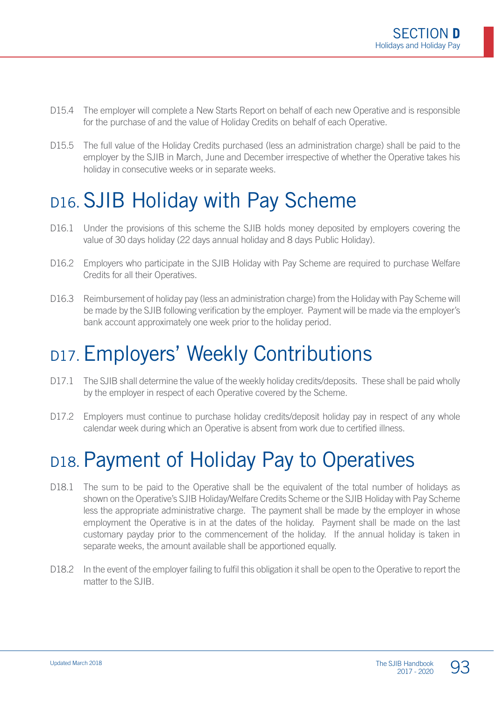- D15.4 The employer will complete a New Starts Report on behalf of each new Operative and is responsible for the purchase of and the value of Holiday Credits on behalf of each Operative.
- D15.5 The full value of the Holiday Credits purchased (less an administration charge) shall be paid to the employer by the SJIB in March, June and December irrespective of whether the Operative takes his holiday in consecutive weeks or in separate weeks.

#### D16. SJIB Holiday with Pay Scheme

- D16.1 Under the provisions of this scheme the SJIB holds money deposited by employers covering the value of 30 days holiday (22 days annual holiday and 8 days Public Holiday).
- D16.2 Employers who participate in the SJIB Holiday with Pay Scheme are required to purchase Welfare Credits for all their Operatives.
- D16.3 Reimbursement of holiday pay (less an administration charge) from the Holiday with Pay Scheme will be made by the SJIB following verification by the employer. Payment will be made via the employer's bank account approximately one week prior to the holiday period.

# D17. Employers' Weekly Contributions

- D17.1 The SJIB shall determine the value of the weekly holiday credits/deposits. These shall be paid wholly by the employer in respect of each Operative covered by the Scheme.
- D17.2 Employers must continue to purchase holiday credits/deposit holiday pay in respect of any whole calendar week during which an Operative is absent from work due to certified illness.

# D18. Payment of Holiday Pay to Operatives

- D18.1 The sum to be paid to the Operative shall be the equivalent of the total number of holidays as shown on the Operative's SJIB Holiday/Welfare Credits Scheme or the SJIB Holiday with Pay Scheme less the appropriate administrative charge. The payment shall be made by the employer in whose employment the Operative is in at the dates of the holiday. Payment shall be made on the last customary payday prior to the commencement of the holiday. If the annual holiday is taken in separate weeks, the amount available shall be apportioned equally.
- D18.2 In the event of the employer failing to fulfil this obligation it shall be open to the Operative to report the matter to the SJIB.